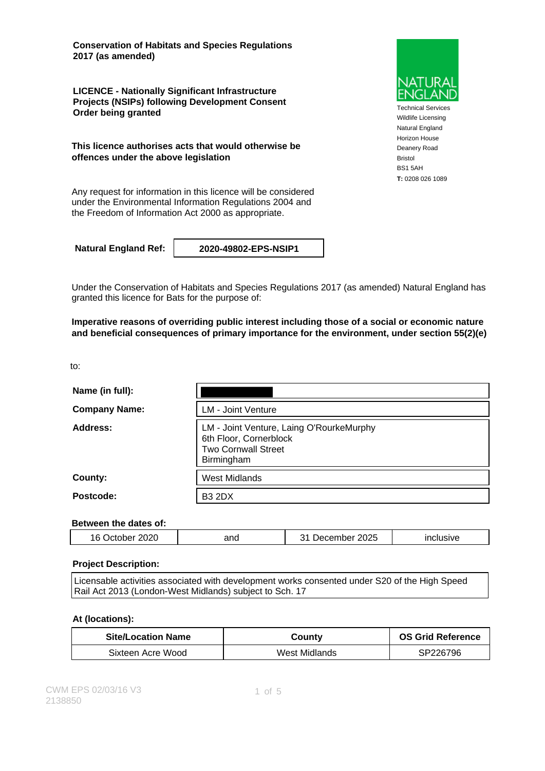**Conservation of Habitats and Species Regulations 2017 (as amended)**

**LICENCE - Nationally Significant Infrastructure Projects (NSIPs) following Development Consent Order being granted**

**This licence authorises acts that would otherwise be offences under the above legislation**

Any request for information in this licence will be considered under the Environmental Information Regulations 2004 and the Freedom of Information Act 2000 as appropriate.

**Natural England Ref: 2020-49802-EPS-NSIP1**

Under the Conservation of Habitats and Species Regulations 2017 (as amended) Natural England has granted this licence for Bats for the purpose of:

**Imperative reasons of overriding public interest including those of a social or economic nature and beneficial consequences of primary importance for the environment, under section 55(2)(e)**

to:

| Name (in full):      |                                                                                                                |  |
|----------------------|----------------------------------------------------------------------------------------------------------------|--|
| <b>Company Name:</b> | <b>LM - Joint Venture</b>                                                                                      |  |
| Address:             | LM - Joint Venture, Laing O'RourkeMurphy<br>6th Floor, Cornerblock<br><b>Two Cornwall Street</b><br>Birmingham |  |
| County:              | <b>West Midlands</b>                                                                                           |  |
| Postcode:            | <b>B3 2DX</b>                                                                                                  |  |

#### **Between the dates of:**

| ~~~~<br>2020<br>16 | and | $\sim$<br>.,<br>2025<br>npe<br>. . | .<br>۷۴'۰۰'<br>. |
|--------------------|-----|------------------------------------|------------------|
|                    |     |                                    |                  |

#### **Project Description:**

Licensable activities associated with development works consented under S20 of the High Speed Rail Act 2013 (London-West Midlands) subject to Sch. 17

#### **At (locations):**

| <b>Site/Location Name</b> | County        | <b>OS Grid Reference</b> |
|---------------------------|---------------|--------------------------|
| Sixteen Acre Wood         | West Midlands | SP226796                 |



Technical Services Wildlife Licensing Natural England Horizon House Deanery Road Bristol BS1 5AH **T:** 0208 026 1089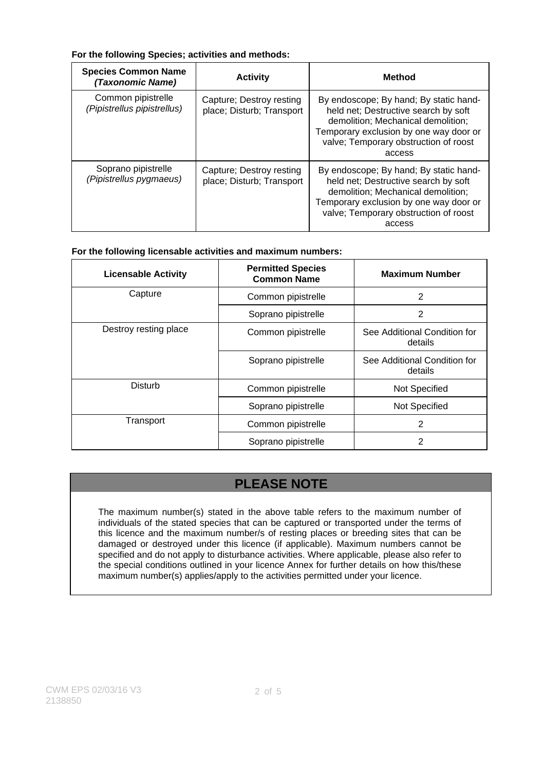#### **For the following Species; activities and methods:**

| <b>Species Common Name</b><br>(Taxonomic Name)    | <b>Activity</b>                                       | <b>Method</b>                                                                                                                                                                                                     |
|---------------------------------------------------|-------------------------------------------------------|-------------------------------------------------------------------------------------------------------------------------------------------------------------------------------------------------------------------|
| Common pipistrelle<br>(Pipistrellus pipistrellus) | Capture; Destroy resting<br>place; Disturb; Transport | By endoscope; By hand; By static hand-<br>held net; Destructive search by soft<br>demolition; Mechanical demolition;<br>Temporary exclusion by one way door or<br>valve; Temporary obstruction of roost<br>access |
| Soprano pipistrelle<br>(Pipistrellus pygmaeus)    | Capture; Destroy resting<br>place; Disturb; Transport | By endoscope; By hand; By static hand-<br>held net; Destructive search by soft<br>demolition; Mechanical demolition;<br>Temporary exclusion by one way door or<br>valve; Temporary obstruction of roost<br>access |

### **For the following licensable activities and maximum numbers:**

| <b>Licensable Activity</b> | <b>Permitted Species</b><br><b>Common Name</b> | <b>Maximum Number</b>                   |
|----------------------------|------------------------------------------------|-----------------------------------------|
| Capture                    | Common pipistrelle                             | 2                                       |
|                            | Soprano pipistrelle                            | 2                                       |
| Destroy resting place      | Common pipistrelle                             | See Additional Condition for<br>details |
|                            | Soprano pipistrelle                            | See Additional Condition for<br>details |
| Disturb                    | Common pipistrelle                             | <b>Not Specified</b>                    |
|                            | Soprano pipistrelle                            | <b>Not Specified</b>                    |
| Transport                  | Common pipistrelle                             | $\mathbf{2}$                            |
|                            | Soprano pipistrelle                            | 2                                       |

# **PLEASE NOTE**

The maximum number(s) stated in the above table refers to the maximum number of individuals of the stated species that can be captured or transported under the terms of this licence and the maximum number/s of resting places or breeding sites that can be damaged or destroyed under this licence (if applicable). Maximum numbers cannot be specified and do not apply to disturbance activities. Where applicable, please also refer to the special conditions outlined in your licence Annex for further details on how this/these maximum number(s) applies/apply to the activities permitted under your licence.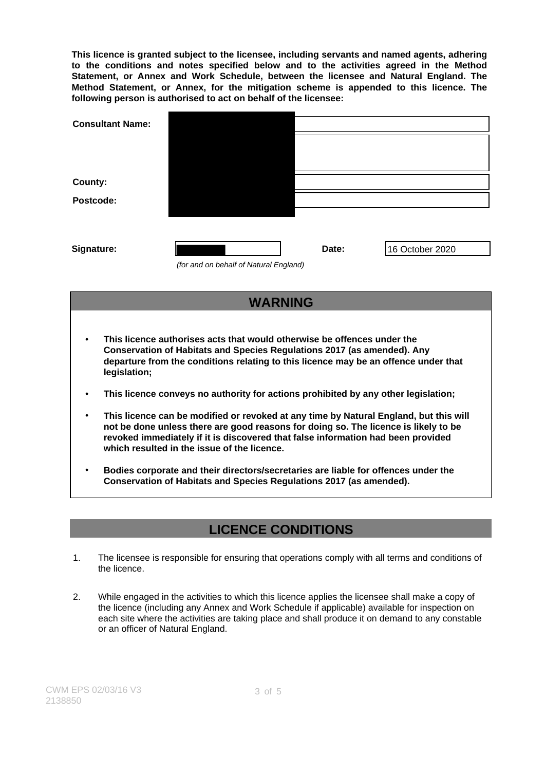**This licence is granted subject to the licensee, including servants and named agents, adhering to the conditions and notes specified below and to the activities agreed in the Method Statement, or Annex and Work Schedule, between the licensee and Natural England. The Method Statement, or Annex, for the mitigation scheme is appended to this licence. The following person is authorised to act on behalf of the licensee:**

| <b>Consultant Name:</b> |                                        |       |                 |
|-------------------------|----------------------------------------|-------|-----------------|
|                         |                                        |       |                 |
|                         |                                        |       |                 |
| County:                 |                                        |       |                 |
| Postcode:               |                                        |       |                 |
|                         |                                        |       |                 |
|                         |                                        |       |                 |
| Signature:              |                                        | Date: | 16 October 2020 |
|                         | (for and on behalf of Natural England) |       |                 |

## **WARNING**

- **This licence authorises acts that would otherwise be offences under the Conservation of Habitats and Species Regulations 2017 (as amended). Any departure from the conditions relating to this licence may be an offence under that legislation;**
- **This licence conveys no authority for actions prohibited by any other legislation;**
- **This licence can be modified or revoked at any time by Natural England, but this will not be done unless there are good reasons for doing so. The licence is likely to be revoked immediately if it is discovered that false information had been provided which resulted in the issue of the licence.**
- **Bodies corporate and their directors/secretaries are liable for offences under the Conservation of Habitats and Species Regulations 2017 (as amended).**

## **LICENCE CONDITIONS**

- 1. The licensee is responsible for ensuring that operations comply with all terms and conditions of the licence.
- 2. While engaged in the activities to which this licence applies the licensee shall make a copy of the licence (including any Annex and Work Schedule if applicable) available for inspection on each site where the activities are taking place and shall produce it on demand to any constable or an officer of Natural England.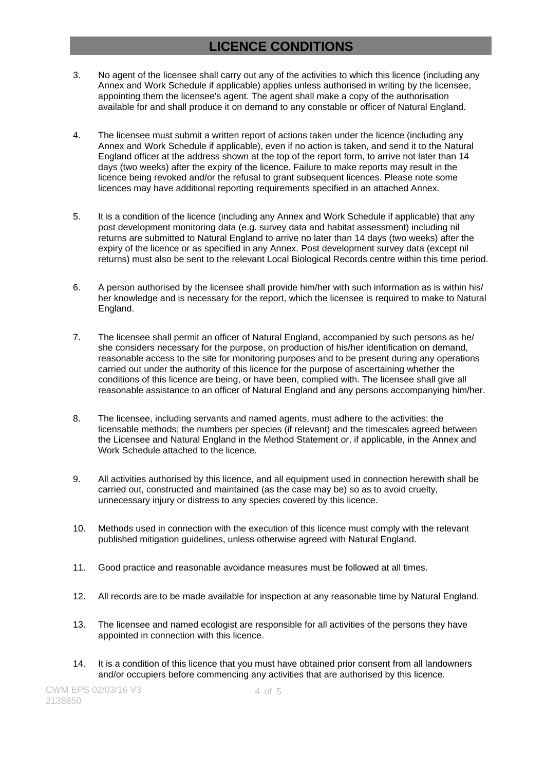## **LICENCE CONDITIONS**

- 3. No agent of the licensee shall carry out any of the activities to which this licence (including any Annex and Work Schedule if applicable) applies unless authorised in writing by the licensee, appointing them the licensee's agent. The agent shall make a copy of the authorisation available for and shall produce it on demand to any constable or officer of Natural England.
- 4. The licensee must submit a written report of actions taken under the licence (including any Annex and Work Schedule if applicable), even if no action is taken, and send it to the Natural England officer at the address shown at the top of the report form, to arrive not later than 14 days (two weeks) after the expiry of the licence. Failure to make reports may result in the licence being revoked and/or the refusal to grant subsequent licences. Please note some licences may have additional reporting requirements specified in an attached Annex.
- 5. It is a condition of the licence (including any Annex and Work Schedule if applicable) that any post development monitoring data (e.g. survey data and habitat assessment) including nil returns are submitted to Natural England to arrive no later than 14 days (two weeks) after the expiry of the licence or as specified in any Annex. Post development survey data (except nil returns) must also be sent to the relevant Local Biological Records centre within this time period.
- 6. A person authorised by the licensee shall provide him/her with such information as is within his/ her knowledge and is necessary for the report, which the licensee is required to make to Natural England.
- 7. The licensee shall permit an officer of Natural England, accompanied by such persons as he/ she considers necessary for the purpose, on production of his/her identification on demand, reasonable access to the site for monitoring purposes and to be present during any operations carried out under the authority of this licence for the purpose of ascertaining whether the conditions of this licence are being, or have been, complied with. The licensee shall give all reasonable assistance to an officer of Natural England and any persons accompanying him/her.
- 8. The licensee, including servants and named agents, must adhere to the activities; the licensable methods; the numbers per species (if relevant) and the timescales agreed between the Licensee and Natural England in the Method Statement or, if applicable, in the Annex and Work Schedule attached to the licence.
- 9. All activities authorised by this licence, and all equipment used in connection herewith shall be carried out, constructed and maintained (as the case may be) so as to avoid cruelty, unnecessary injury or distress to any species covered by this licence.
- 10. Methods used in connection with the execution of this licence must comply with the relevant published mitigation guidelines, unless otherwise agreed with Natural England.
- 11. Good practice and reasonable avoidance measures must be followed at all times.
- 12. All records are to be made available for inspection at any reasonable time by Natural England.
- 13. The licensee and named ecologist are responsible for all activities of the persons they have appointed in connection with this licence.
- 14. It is a condition of this licence that you must have obtained prior consent from all landowners and/or occupiers before commencing any activities that are authorised by this licence.